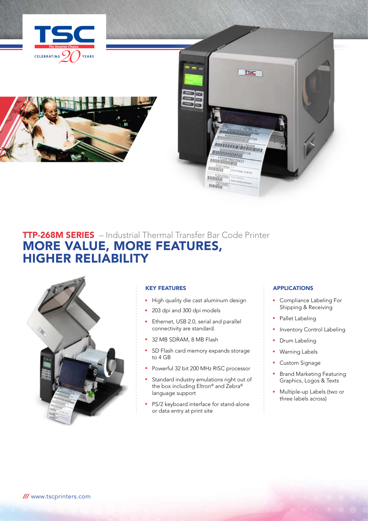





# TTP-268M SERIES – Industrial Thermal Transfer Bar Code Printer MORE VALUE, MORE FEATURES, HIGHER RELIABILITY



## KEY FEATURES

- **High quality die cast aluminum design**
- 203 dpi and 300 dpi models
- **Ethernet, USB 2.0, serial and parallel** connectivity are standard.
- 32 MB SDRAM, 8 MB Flash
- **B** SD Flash card memory expands storage to 4 GB
- Powerful 32 bit 200 MHz RISC processor
- **F** Standard industry emulations right out of the box including Eltron® and Zebra® language support
- **PS/2** keyboard interface for stand-alone or data entry at print site

## **APPLICATIONS**

- **•** Compliance Labeling For Shipping & Receiving
- Pallet Labeling
- **n** Inventory Control Labeling
- Drum Labeling
- **Warning Labels**
- Custom Signage
- **•** Brand Marketing Featuring Graphics, Logos & Texts
- **Nultiple-up Labels (two or** three labels across)